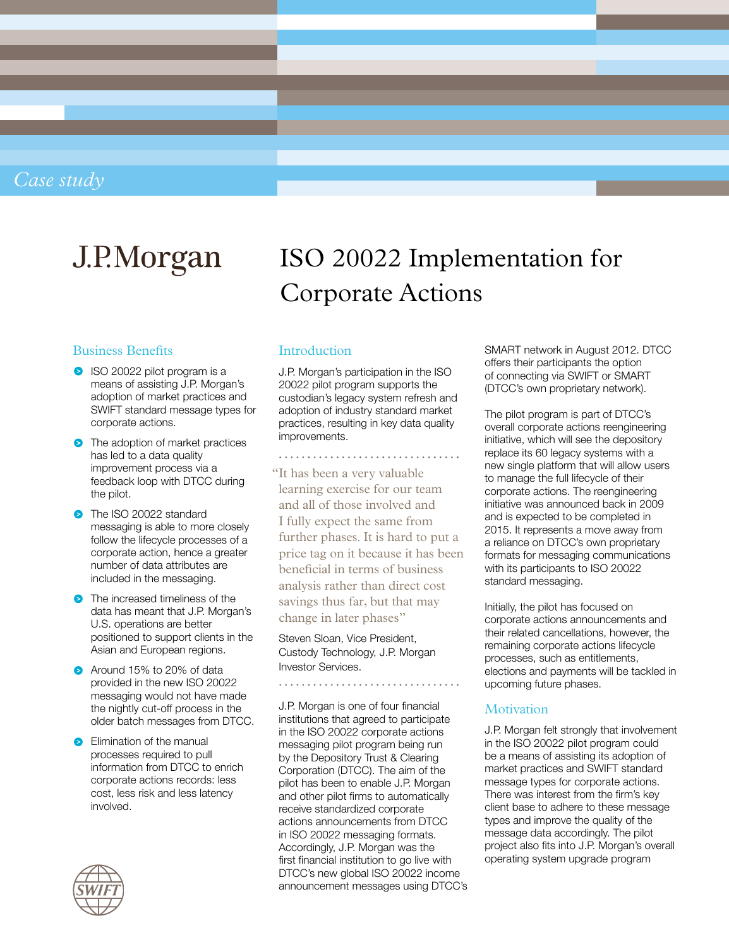### *Case study*

# J.P.Morgan

#### Business Benefits

- ISO 20022 pilot program is a means of assisting J.P. Morgan's adoption of market practices and SWIFT standard message types for corporate actions.
- **•** The adoption of market practices has led to a data quality improvement process via a feedback loop with DTCC during the pilot.
- **•** The ISO 20022 standard messaging is able to more closely follow the lifecycle processes of a corporate action, hence a greater number of data attributes are included in the messaging.
- **•** The increased timeliness of the data has meant that J.P. Morgan's U.S. operations are better positioned to support clients in the Asian and European regions.
- Around 15% to 20% of data provided in the new ISO 20022 messaging would not have made the nightly cut-off process in the older batch messages from DTCC.
- **B** Elimination of the manual processes required to pull information from DTCC to enrich corporate actions records: less cost, less risk and less latency involved.



## ISO 20022 Implementation for Corporate Actions

#### **Introduction**

J.P. Morgan's participation in the ISO 20022 pilot program supports the custodian's legacy system refresh and adoption of industry standard market practices, resulting in key data quality improvements.

"It has been a very valuable learning exercise for our team and all of those involved and I fully expect the same from further phases. It is hard to put a price tag on it because it has been beneficial in terms of business analysis rather than direct cost savings thus far, but that may change in later phases"

Steven Sloan, Vice President, Custody Technology, J.P. Morgan Investor Services.

J.P. Morgan is one of four financial institutions that agreed to participate in the ISO 20022 corporate actions messaging pilot program being run by the Depository Trust & Clearing Corporation (DTCC). The aim of the pilot has been to enable J.P. Morgan and other pilot firms to automatically receive standardized corporate actions announcements from DTCC in ISO 20022 messaging formats. Accordingly, J.P. Morgan was the first financial institution to go live with DTCC's new global ISO 20022 income announcement messages using DTCC's SMART network in August 2012. DTCC offers their participants the option of connecting via SWIFT or SMART (DTCC's own proprietary network).

The pilot program is part of DTCC's overall corporate actions reengineering initiative, which will see the depository replace its 60 legacy systems with a new single platform that will allow users to manage the full lifecycle of their corporate actions. The reengineering initiative was announced back in 2009 and is expected to be completed in 2015. It represents a move away from a reliance on DTCC's own proprietary formats for messaging communications with its participants to ISO 20022 standard messaging.

Initially, the pilot has focused on corporate actions announcements and their related cancellations, however, the remaining corporate actions lifecycle processes, such as entitlements, elections and payments will be tackled in upcoming future phases.

#### **Motivation**

J.P. Morgan felt strongly that involvement in the ISO 20022 pilot program could be a means of assisting its adoption of market practices and SWIFT standard message types for corporate actions. There was interest from the firm's key client base to adhere to these message types and improve the quality of the message data accordingly. The pilot project also fits into J.P. Morgan's overall operating system upgrade program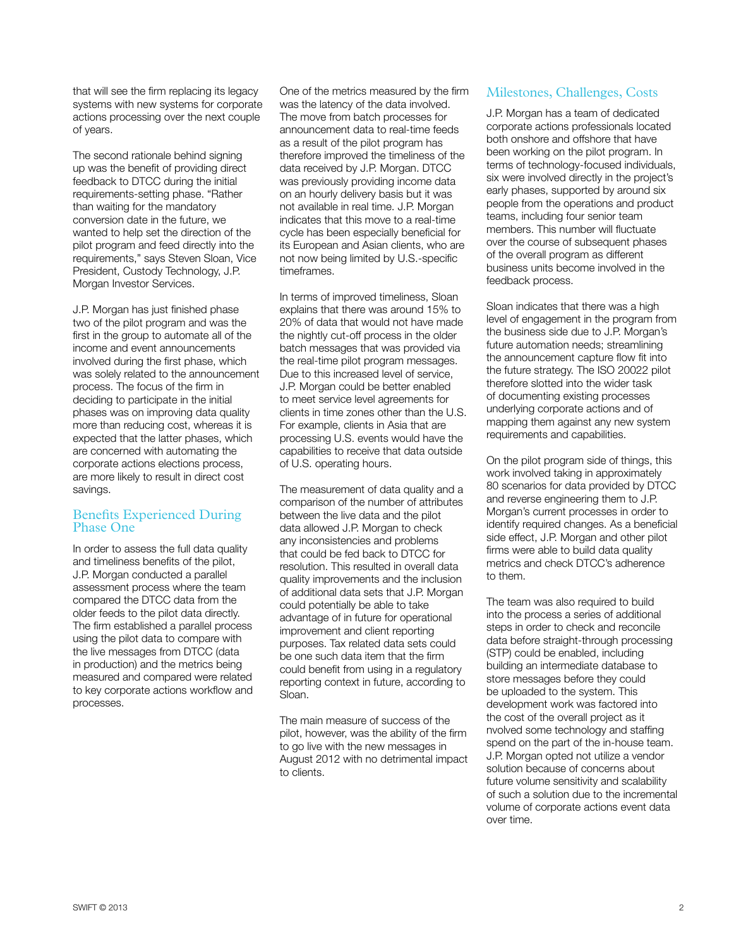that will see the firm replacing its legacy systems with new systems for corporate actions processing over the next couple of years.

The second rationale behind signing up was the benefit of providing direct feedback to DTCC during the initial requirements-setting phase. "Rather than waiting for the mandatory conversion date in the future, we wanted to help set the direction of the pilot program and feed directly into the requirements," says Steven Sloan, Vice President, Custody Technology, J.P. Morgan Investor Services.

J.P. Morgan has just finished phase two of the pilot program and was the first in the group to automate all of the income and event announcements involved during the first phase, which was solely related to the announcement process. The focus of the firm in deciding to participate in the initial phases was on improving data quality more than reducing cost, whereas it is expected that the latter phases, which are concerned with automating the corporate actions elections process, are more likely to result in direct cost savings.

#### Benefits Experienced During Phase One

In order to assess the full data quality and timeliness benefits of the pilot, J.P. Morgan conducted a parallel assessment process where the team compared the DTCC data from the older feeds to the pilot data directly. The firm established a parallel process using the pilot data to compare with the live messages from DTCC (data in production) and the metrics being measured and compared were related to key corporate actions workflow and processes.

One of the metrics measured by the firm was the latency of the data involved. The move from batch processes for announcement data to real-time feeds as a result of the pilot program has therefore improved the timeliness of the data received by J.P. Morgan. DTCC was previously providing income data on an hourly delivery basis but it was not available in real time. J.P. Morgan indicates that this move to a real-time cycle has been especially beneficial for its European and Asian clients, who are not now being limited by U.S.-specific timeframes.

In terms of improved timeliness, Sloan explains that there was around 15% to 20% of data that would not have made the nightly cut-off process in the older batch messages that was provided via the real-time pilot program messages. Due to this increased level of service, J.P. Morgan could be better enabled to meet service level agreements for clients in time zones other than the U.S. For example, clients in Asia that are processing U.S. events would have the capabilities to receive that data outside of U.S. operating hours.

The measurement of data quality and a comparison of the number of attributes between the live data and the pilot data allowed J.P. Morgan to check any inconsistencies and problems that could be fed back to DTCC for resolution. This resulted in overall data quality improvements and the inclusion of additional data sets that J.P. Morgan could potentially be able to take advantage of in future for operational improvement and client reporting purposes. Tax related data sets could be one such data item that the firm could benefit from using in a regulatory reporting context in future, according to Sloan.

The main measure of success of the pilot, however, was the ability of the firm to go live with the new messages in August 2012 with no detrimental impact to clients.

#### Milestones, Challenges, Costs

J.P. Morgan has a team of dedicated corporate actions professionals located both onshore and offshore that have been working on the pilot program. In terms of technology-focused individuals, six were involved directly in the project's early phases, supported by around six people from the operations and product teams, including four senior team members. This number will fluctuate over the course of subsequent phases of the overall program as different business units become involved in the feedback process.

Sloan indicates that there was a high level of engagement in the program from the business side due to J.P. Morgan's future automation needs; streamlining the announcement capture flow fit into the future strategy. The ISO 20022 pilot therefore slotted into the wider task of documenting existing processes underlying corporate actions and of mapping them against any new system requirements and capabilities.

On the pilot program side of things, this work involved taking in approximately 80 scenarios for data provided by DTCC and reverse engineering them to J.P. Morgan's current processes in order to identify required changes. As a beneficial side effect, J.P. Morgan and other pilot firms were able to build data quality metrics and check DTCC's adherence to them.

The team was also required to build into the process a series of additional steps in order to check and reconcile data before straight-through processing (STP) could be enabled, including building an intermediate database to store messages before they could be uploaded to the system. This development work was factored into the cost of the overall project as it nvolved some technology and staffing spend on the part of the in-house team. J.P. Morgan opted not utilize a vendor solution because of concerns about future volume sensitivity and scalability of such a solution due to the incremental volume of corporate actions event data over time.